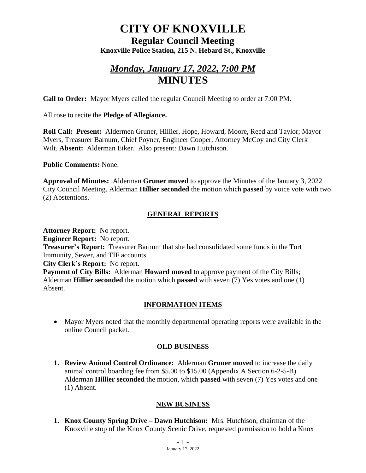# **CITY OF KNOXVILLE**

**Regular Council Meeting Knoxville Police Station, 215 N. Hebard St., Knoxville**

# *Monday, January 17, 2022, 7:00 PM* **MINUTES**

**Call to Order:** Mayor Myers called the regular Council Meeting to order at 7:00 PM.

All rose to recite the **Pledge of Allegiance.**

**Roll Call: Present:** Aldermen Gruner, Hillier, Hope, Howard, Moore, Reed and Taylor; Mayor Myers, Treasurer Barnum, Chief Poyner, Engineer Cooper, Attorney McCoy and City Clerk Wilt. **Absent:** Alderman Eiker. Also present: Dawn Hutchison.

**Public Comments:** None.

**Approval of Minutes:** Alderman **Gruner moved** to approve the Minutes of the January 3, 2022 City Council Meeting. Alderman **Hillier seconded** the motion which **passed** by voice vote with two (2) Abstentions.

# **GENERAL REPORTS**

**Attorney Report:** No report. **Engineer Report:** No report. **Treasurer's Report:** Treasurer Barnum that she had consolidated some funds in the Tort Immunity, Sewer, and TIF accounts. **City Clerk's Report:** No report. **Payment of City Bills:** Alderman **Howard moved** to approve payment of the City Bills; Alderman **Hillier seconded** the motion which **passed** with seven (7) Yes votes and one (1) Absent.

# **INFORMATION ITEMS**

• Mayor Myers noted that the monthly departmental operating reports were available in the online Council packet.

# **OLD BUSINESS**

**1. Review Animal Control Ordinance:** Alderman **Gruner moved** to increase the daily animal control boarding fee from \$5.00 to \$15.00 (Appendix A Section 6-2-5-B). Alderman **Hillier seconded** the motion, which **passed** with seven (7) Yes votes and one (1) Absent.

#### **NEW BUSINESS**

**1. Knox County Spring Drive – Dawn Hutchison:** Mrs. Hutchison, chairman of the Knoxville stop of the Knox County Scenic Drive, requested permission to hold a Knox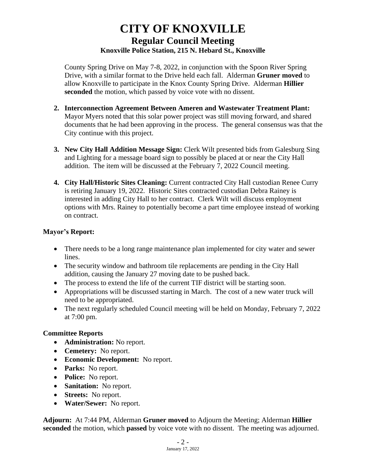# **CITY OF KNOXVILLE Regular Council Meeting Knoxville Police Station, 215 N. Hebard St., Knoxville**

County Spring Drive on May 7-8, 2022, in conjunction with the Spoon River Spring Drive, with a similar format to the Drive held each fall. Alderman **Gruner moved** to allow Knoxville to participate in the Knox County Spring Drive. Alderman **Hillier seconded** the motion, which passed by voice vote with no dissent.

- **2. Interconnection Agreement Between Ameren and Wastewater Treatment Plant:** Mayor Myers noted that this solar power project was still moving forward, and shared documents that he had been approving in the process. The general consensus was that the City continue with this project.
- **3. New City Hall Addition Message Sign:** Clerk Wilt presented bids from Galesburg Sing and Lighting for a message board sign to possibly be placed at or near the City Hall addition. The item will be discussed at the February 7, 2022 Council meeting.
- **4. City Hall/Historic Sites Cleaning:** Current contracted City Hall custodian Renee Curry is retiring January 19, 2022. Historic Sites contracted custodian Debra Rainey is interested in adding City Hall to her contract. Clerk Wilt will discuss employment options with Mrs. Rainey to potentially become a part time employee instead of working on contract.

### **Mayor's Report:**

- There needs to be a long range maintenance plan implemented for city water and sewer lines.
- The security window and bathroom tile replacements are pending in the City Hall addition, causing the January 27 moving date to be pushed back.
- The process to extend the life of the current TIF district will be starting soon.
- Appropriations will be discussed starting in March. The cost of a new water truck will need to be appropriated.
- The next regularly scheduled Council meeting will be held on Monday, February 7, 2022 at 7:00 pm.

# **Committee Reports**

- **Administration:** No report.
- **Cemetery:** No report.
- **Economic Development:** No report.
- **Parks:** No report.
- **Police:** No report.
- **Sanitation:** No report.
- **Streets:** No report.
- **Water/Sewer:** No report.

**Adjourn:** At 7:44 PM, Alderman **Gruner moved** to Adjourn the Meeting; Alderman **Hillier seconded** the motion, which **passed** by voice vote with no dissent. The meeting was adjourned.